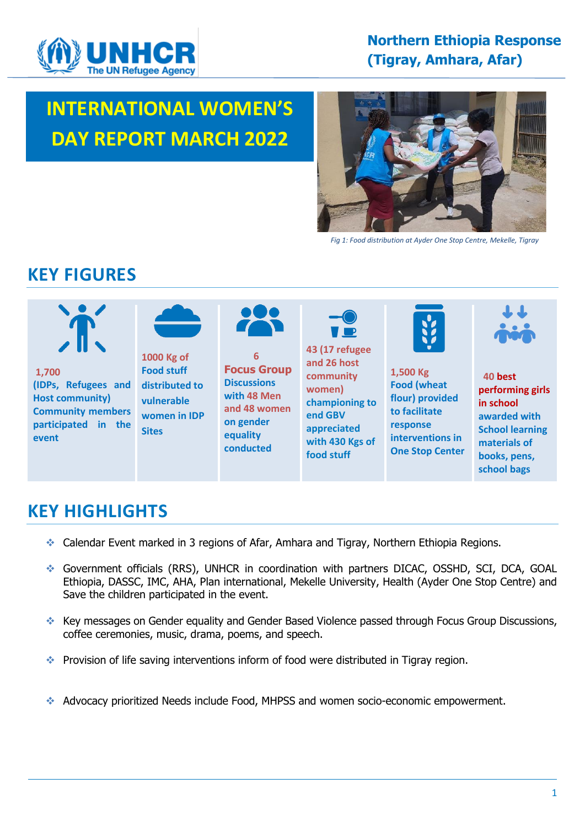

# **000 INTERNATIONAL WOMEN'S DAY REPORT MARCH 2022**



 *Fig 1: Food distribution at Ayder One Stop Centre, Mekelle, Tigray*

# **KEY FIGURES**



# **KEY HIGHLIGHTS**

- ❖ Calendar Event marked in 3 regions of Afar, Amhara and Tigray, Northern Ethiopia Regions.
- ❖ Government officials (RRS), UNHCR in coordination with partners DICAC, OSSHD, SCI, DCA, GOAL Ethiopia, DASSC, IMC, AHA, Plan international, Mekelle University, Health (Ayder One Stop Centre) and Save the children participated in the event.
- ❖ Key messages on Gender equality and Gender Based Violence passed through Focus Group Discussions, coffee ceremonies, music, drama, poems, and speech.
- ❖ Provision of life saving interventions inform of food were distributed in Tigray region.
- ❖ Advocacy prioritized Needs include Food, MHPSS and women socio-economic empowerment.

**school bags**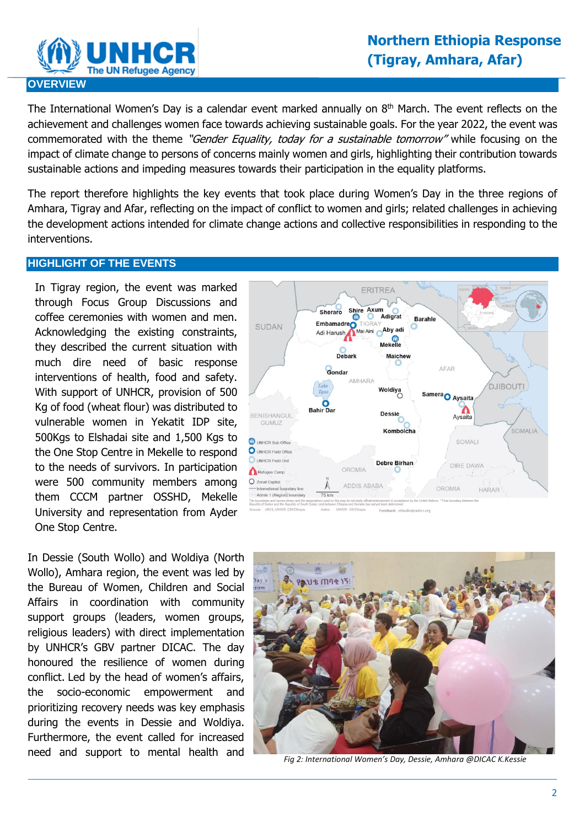

The International Women's Day is a calendar event marked annually on  $8<sup>th</sup>$  March. The event reflects on the achievement and challenges women face towards achieving sustainable goals. For the year 2022, the event was commemorated with the theme "Gender Equality, today for a sustainable tomorrow" while focusing on the impact of climate change to persons of concerns mainly women and girls, highlighting their contribution towards sustainable actions and impeding measures towards their participation in the equality platforms.

The report therefore highlights the key events that took place during Women's Day in the three regions of Amhara, Tigray and Afar, reflecting on the impact of conflict to women and girls; related challenges in achieving the development actions intended for climate change actions and collective responsibilities in responding to the interventions.

#### **HIGHLIGHT OF THE EVENTS**

 University and representation from Ayder In Tigray region, the event was marked through Focus Group Discussions and coffee ceremonies with women and men. Acknowledging the existing constraints, they described the current situation with much dire need of basic response interventions of health, food and safety. With support of UNHCR, provision of 500 Kg of food (wheat flour) was distributed to vulnerable women in Yekatit IDP site, 500Kgs to Elshadai site and 1,500 Kgs to the One Stop Centre in Mekelle to respond to the needs of survivors. In participation were 500 community members among them CCCM partner OSSHD, Mekelle One Stop Centre.

In Dessie (South Wollo) and Woldiya (North Wollo), Amhara region, the event was led by the Bureau of Women, Children and Social Affairs in coordination with community support groups (leaders, women groups, religious leaders) with direct implementation by UNHCR's GBV partner DICAC. The day honoured the resilience of women during conflict. Led by the head of women's affairs, the socio-economic empowerment and prioritizing recovery needs was key emphasis during the events in Dessie and Woldiya. Furthermore, the event called for increased need and support to mental health and





*Fig 2: International Women's Day, Dessie, Amhara @DICAC K.Kessie*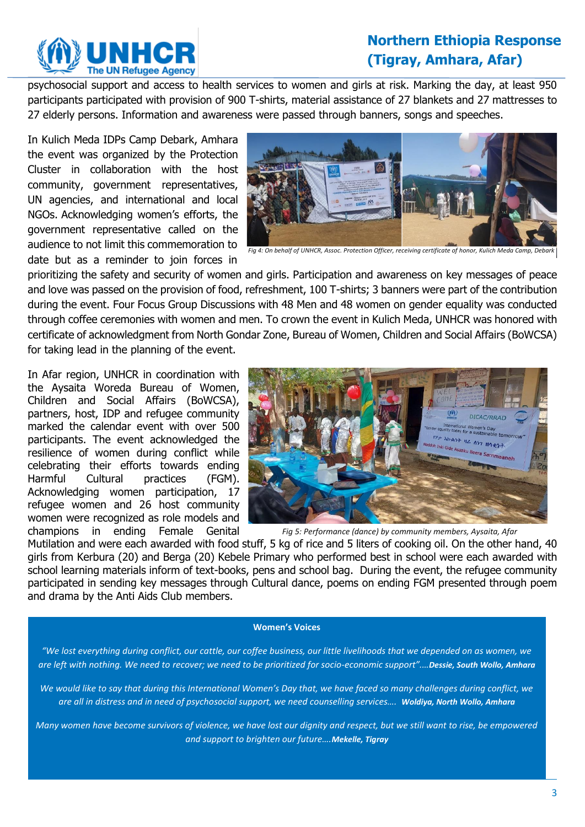

# **Northern Ethiopia Response (Tigray, Amhara, Afar)**

psychosocial support and access to health services to women and girls at risk. Marking the day, at least 950 participants participated with provision of 900 T-shirts, material assistance of 27 blankets and 27 mattresses to 27 elderly persons. Information and awareness were passed through banners, songs and speeches.

In Kulich Meda IDPs Camp Debark, Amhara the event was organized by the Protection Cluster in collaboration with the host community, government representatives, UN agencies, and international and local NGOs. Acknowledging women's efforts, the government representative called on the audience to not limit this commemoration to date but as a reminder to join forces in



*Fig 4: On behalf of UNHCR, Assoc. Protection Officer, receiving certificate of honor, Kulich Meda Camp, Debark*

prioritizing the safety and security of women and girls. Participation and awareness on key messages of peace and love was passed on the provision of food, refreshment, 100 T-shirts; 3 banners were part of the contribution during the event. Four Focus Group Discussions with 48 Men and 48 women on gender equality was conducted through coffee ceremonies with women and men. To crown the event in Kulich Meda, UNHCR was honored with certificate of acknowledgment from North Gondar Zone, Bureau of Women, Children and Social Affairs (BoWCSA) for taking lead in the planning of the event.

In Afar region, UNHCR in coordination with the Aysaita Woreda Bureau of Women, Children and Social Affairs (BoWCSA), partners, host, IDP and refugee community marked the calendar event with over 500 participants. The event acknowledged the resilience of women during conflict while celebrating their efforts towards ending Harmful Cultural practices (FGM). Acknowledging women participation, 17 refugee women and 26 host community women were recognized as role models and champions in ending Female Genital



*Fig 5: Performance (dance) by community members, Aysaita, Afar*

Mutilation and were each awarded with food stuff, 5 kg of rice and 5 liters of cooking oil. On the other hand, 40 girls from Kerbura (20) and Berga (20) Kebele Primary who performed best in school were each awarded with school learning materials inform of text-books, pens and school bag. During the event, the refugee community participated in sending key messages through Cultural dance, poems on ending FGM presented through poem and drama by the Anti Aids Club members.

#### **Women's Voices**

*"We lost everything during conflict, our cattle, our coffee business, our little livelihoods that we depended on as women, we are left with nothing. We need to recover; we need to be prioritized for socio-economic support".…Dessie, South Wollo, Amhara*

*We would like to say that during this International Women's Day that, we have faced so many challenges during conflict, we are all in distress and in need of psychosocial support, we need counselling services…. Woldiya, North Wollo, Amhara*

*Many women have become survivors of violence, we have lost our dignity and respect, but we still want to rise, be empowered and support to brighten our future….Mekelle, Tigray*